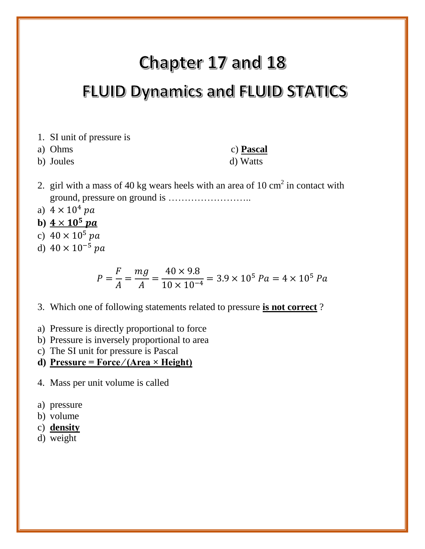## Chapter 17 and 18 FLUID Dynamics and FLUID STATICS

- 1. SI unit of pressure is
- a) Ohms c) **Pascal**
- b) Joules d) Watts

- 2. girl with a mass of 40 kg wears heels with an area of 10 cm<sup>2</sup> in contact with ground, pressure on ground is ……………………..
- a)  $4 \times 10^4$  pa
- **b**)  $4 \times 10^5$  pa
- c)  $40 \times 10^5$  pa
- d)  $40 \times 10^{-5}$  pa

 $P =$ F  $\overline{A}$ =  $mg$  $\overline{A}$ =  $40 \times 9.8$  $\frac{10 \times 3.0}{10 \times 10^{-4}}$  = 3.9 × 10<sup>5</sup> Pa = 4 × 10<sup>5</sup> Pa

- 3. Which one of following statements related to pressure **is not correct** ?
- a) Pressure is directly proportional to force
- b) Pressure is inversely proportional to area
- c) The SI unit for pressure is Pascal
- **d) Pressure = Force ⁄ (Area × Height)**
- 4. Mass per unit volume is called
- a) pressure
- b) volume
- c) **density**
- d) weight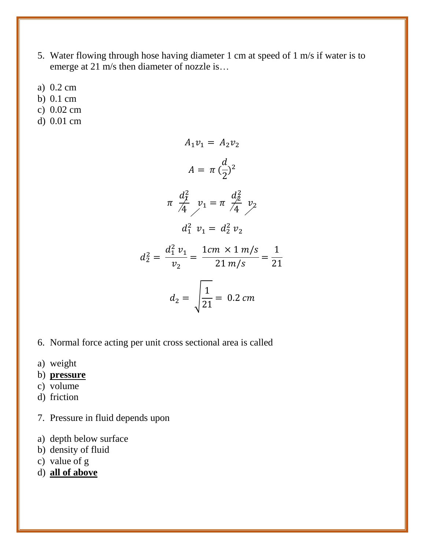- 5. Water flowing through hose having diameter 1 cm at speed of 1 m/s if water is to emerge at 21 m/s then diameter of nozzle is…
- a) 0.2 cm
- b) 0.1 cm
- c) 0.02 cm
- d) 0.01 cm

$$
A_1 v_1 = A_2 v_2
$$
  
\n
$$
A = \pi \left(\frac{d}{2}\right)^2
$$
  
\n
$$
\pi \frac{d_1^2}{4} v_1 = \pi \frac{d_2^2}{4} v_2
$$
  
\n
$$
d_1^2 v_1 = d_2^2 v_2
$$
  
\n
$$
d_2^2 = \frac{d_1^2 v_1}{v_2} = \frac{1 \text{cm} \times 1 \text{ m/s}}{21 \text{ m/s}} = \frac{1}{21}
$$
  
\n
$$
d_2 = \sqrt{\frac{1}{21}} = 0.2 \text{ cm}
$$

- 6. Normal force acting per unit cross sectional area is called
- a) weight
- b) **pressure**
- c) volume
- d) friction
- 7. Pressure in fluid depends upon
- a) depth below surface
- b) density of fluid
- c) value of g
- d) **all of above**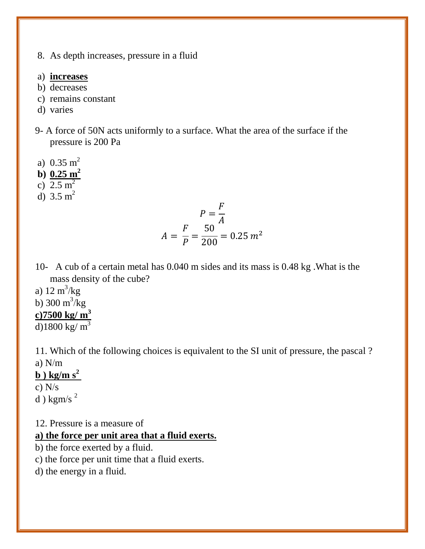- 8. As depth increases, pressure in a fluid
- a) **increases**
- b) decreases
- c) remains constant
- d) varies
- 9- A force of 50N acts uniformly to a surface. What the area of the surface if the pressure is 200 Pa
- a)  $0.35 \text{ m}^2$
- **b**)  $0.25 \text{ m}^2$
- c)  $2.5 \text{ m}^2$
- d)  $3.5 \text{ m}^2$

$$
P = \frac{F}{A}
$$
  

$$
A = \frac{F}{P} = \frac{50}{200} = 0.25 \, m^2
$$

- 10- A cub of a certain metal has 0.040 m sides and its mass is 0.48 kg .What is the mass density of the cube?
- a)  $12 \text{ m}^3/\text{kg}$ b)  $300 \text{ m}^3/\text{kg}$ **c)7500 kg/ m 3**
- d)1800 kg/ $m^3$

11. Which of the following choices is equivalent to the SI unit of pressure, the pascal ? a) N/m

## **2 b ) kg/m s**

- c) N/s
- d ) kgm/s  $^2$

12. Pressure is a measure of

## **a) the force per unit area that a fluid exerts.**

- b) the force exerted by a fluid.
- c) the force per unit time that a fluid exerts.
- d) the energy in a fluid.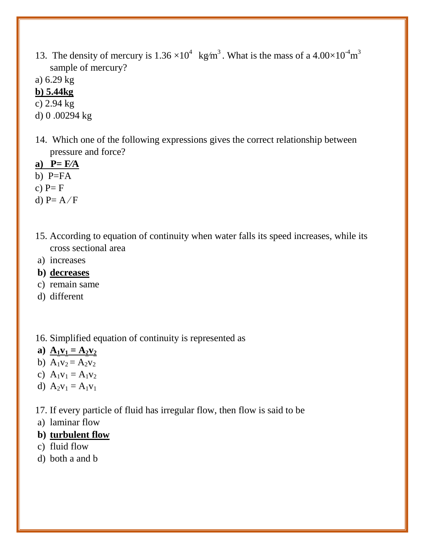- 13. The density of mercury is  $1.36 \times 10^4$  kg/m<sup>3</sup>. What is the mass of a  $4.00 \times 10^4$ m<sup>3</sup> sample of mercury?
- a) 6.29 kg

## **b) 5.44kg**

- c) 2.94 kg
- d) 0 .00294 kg
- 14. Which one of the following expressions gives the correct relationship between pressure and force?
- **a) P= F⁄A**
- b)  $P=FA$
- c)  $P = F$
- d)  $P = A/F$
- 15. According to equation of continuity when water falls its speed increases, while its cross sectional area
- a) increases
- **b) decreases**
- c) remain same
- d) different
- 16. Simplified equation of continuity is represented as
- **a**)  $A_1V_1 = A_2V_2$
- b)  $A_1v_2 = A_2v_2$
- c)  $A_1v_1 = A_1v_2$
- d)  $A_2v_1 = A_1v_1$
- 17. If every particle of fluid has irregular flow, then flow is said to be
- a) laminar flow
- **b) turbulent flow**
- c) fluid flow
- d) both a and b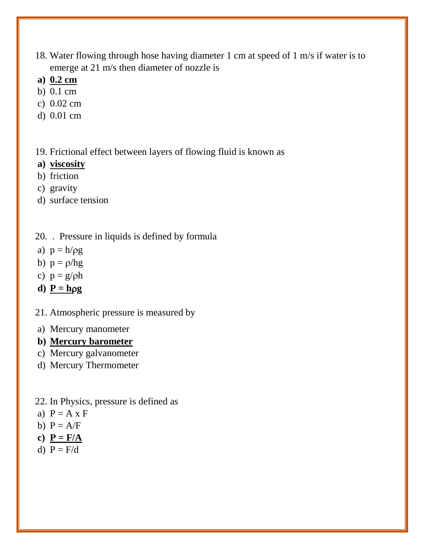- 18. Water flowing through hose having diameter 1 cm at speed of 1 m/s if water is to emerge at 21 m/s then diameter of nozzle is
- **a) 0.2 cm**
- b) 0.1 cm
- c) 0.02 cm
- d) 0.01 cm
- 19. Frictional effect between layers of flowing fluid is known as
- **a) viscosity**
- b) friction
- c) gravity
- d) surface tension
- 20. . Pressure in liquids is defined by formula
- a)  $p = h/\rho g$
- b)  $p = \rho/hg$
- c)  $p = g/\rho h$
- **d**)  $P = h \rho g$
- 21. Atmospheric pressure is measured by
- a) Mercury manometer
- **b) Mercury barometer**
- c) Mercury galvanometer
- d) Mercury Thermometer
- 22. In Physics, pressure is defined as
- a)  $P = A \times F$
- b)  $P = A/F$
- c)  $P = F/A$
- d)  $P = F/d$